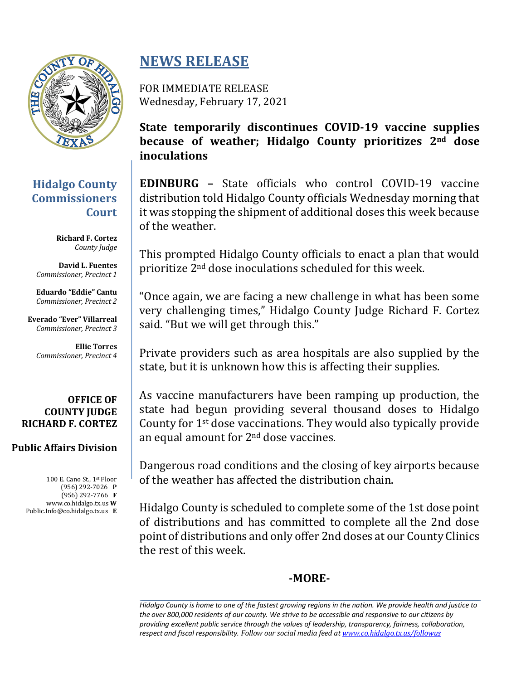

# **Hidalgo County Commissioners Court**

**Richard F. Cortez** *County Judge*

**David L. Fuentes** *Commissioner, Precinct 1*

**Eduardo "Eddie" Cantu** *Commissioner, Precinct 2*

**Everado "Ever" Villarreal** *Commissioner, Precinct 3*

**Ellie Torres** *Commissioner, Precinct 4*

#### **OFFICE OF COUNTY IUDGE RICHARD F. CORTEZ**

### **Public Affairs Division**

100 E. Cano St., 1st Floor (956) 292-7026 **P** (956) 292-7766 **F** www.co.hidalgo.tx.us **W** Public.Info@co.hidalgo.tx.us **E**

# **NEWS RELEASE**

FOR IMMEDIATE RELEASE Wednesday, February 17, 2021

**State temporarily discontinues COVID-19 vaccine supplies because** of weather; Hidalgo County prioritizes  $2^{nd}$  dose **inoculations**

**EDINBURG** – State officials who control COVID-19 vaccine distribution told Hidalgo County officials Wednesday morning that it was stopping the shipment of additional doses this week because of the weather.

This prompted Hidalgo County officials to enact a plan that would prioritize  $2<sup>nd</sup>$  dose inoculations scheduled for this week.

"Once again, we are facing a new challenge in what has been some very challenging times," Hidalgo County Judge Richard F. Cortez said. "But we will get through this."

Private providers such as area hospitals are also supplied by the state, but it is unknown how this is affecting their supplies.

As vaccine manufacturers have been ramping up production, the state had begun providing several thousand doses to Hidalgo County for 1<sup>st</sup> dose vaccinations. They would also typically provide an equal amount for 2<sup>nd</sup> dose vaccines.

Dangerous road conditions and the closing of key airports because of the weather has affected the distribution chain.

Hidalgo County is scheduled to complete some of the 1st dose point of distributions and has committed to complete all the 2nd dose point of distributions and only offer 2nd doses at our County Clinics the rest of this week.

## **-MORE-**

*Hidalgo County is home to one of the fastest growing regions in the nation. We provide health and justice to the over 800,000 residents of our county. We strive to be accessible and responsive to our citizens by providing excellent public service through the values of leadership, transparency, fairness, collaboration,*  respect and fiscal responsibility. Follow our social media feed at www.co.hidalgo.tx.us/followus